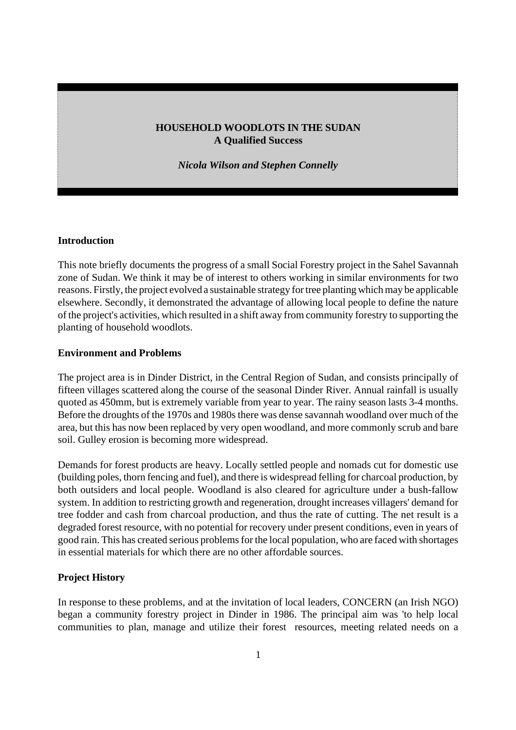## **HOUSEHOLD WOODLOTS IN THE SUDAN A Qualified Success**

*Nicola Wilson and Stephen Connelly*

#### **Introduction**

This note briefly documents the progress of a small Social Forestry project in the Sahel Savannah zone of Sudan. We think it may be of interest to others working in similar environments for two reasons. Firstly, the project evolved a sustainable strategy for tree planting which may be applicable elsewhere. Secondly, it demonstrated the advantage of allowing local people to define the nature of the project's activities, which resulted in a shift away from community forestry to supporting the planting of household woodlots.

#### **Environment and Problems**

The project area is in Dinder District, in the Central Region of Sudan, and consists principally of fifteen villages scattered along the course of the seasonal Dinder River. Annual rainfall is usually quoted as 450mm, but is extremely variable from year to year. The rainy season lasts 3-4 months. Before the droughts of the 1970s and 1980s there was dense savannah woodland over much of the area, but this has now been replaced by very open woodland, and more commonly scrub and bare soil. Gulley erosion is becoming more widespread.

Demands for forest products are heavy. Locally settled people and nomads cut for domestic use (building poles, thorn fencing and fuel), and there is widespread felling for charcoal production, by both outsiders and local people. Woodland is also cleared for agriculture under a bush-fallow system. In addition to restricting growth and regeneration, drought increases villagers' demand for tree fodder and cash from charcoal production, and thus the rate of cutting. The net result is a degraded forest resource, with no potential for recovery under present conditions, even in years of good rain. This has created serious problems for the local population, who are faced with shortages in essential materials for which there are no other affordable sources.

## **Project History**

In response to these problems, and at the invitation of local leaders, CONCERN (an Irish NGO) began a community forestry project in Dinder in 1986. The principal aim was 'to help local communities to plan, manage and utilize their forest resources, meeting related needs on a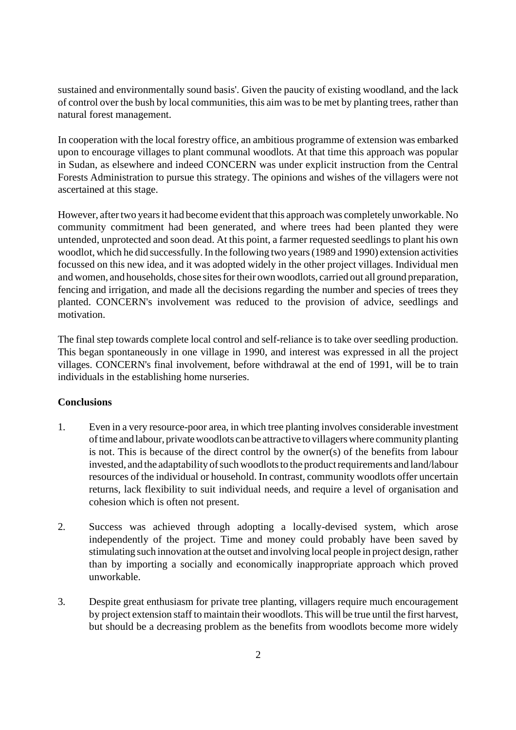sustained and environmentally sound basis'. Given the paucity of existing woodland, and the lack of control over the bush by local communities, this aim was to be met by planting trees, rather than natural forest management.

In cooperation with the local forestry office, an ambitious programme of extension was embarked upon to encourage villages to plant communal woodlots. At that time this approach was popular in Sudan, as elsewhere and indeed CONCERN was under explicit instruction from the Central Forests Administration to pursue this strategy. The opinions and wishes of the villagers were not ascertained at this stage.

However, after two years it had become evident that this approach was completely unworkable. No community commitment had been generated, and where trees had been planted they were untended, unprotected and soon dead. At this point, a farmer requested seedlings to plant his own woodlot, which he did successfully. In the following two years (1989 and 1990) extension activities focussed on this new idea, and it was adopted widely in the other project villages. Individual men and women, and households, chose sites for their own woodlots, carried out all ground preparation, fencing and irrigation, and made all the decisions regarding the number and species of trees they planted. CONCERN's involvement was reduced to the provision of advice, seedlings and motivation.

The final step towards complete local control and self-reliance is to take over seedling production. This began spontaneously in one village in 1990, and interest was expressed in all the project villages. CONCERN's final involvement, before withdrawal at the end of 1991, will be to train individuals in the establishing home nurseries.

# **Conclusions**

- 1. Even in a very resource-poor area, in which tree planting involves considerable investment of time and labour, private woodlots can be attractive to villagers where community planting is not. This is because of the direct control by the owner(s) of the benefits from labour invested, and the adaptability of such woodlots to the product requirements and land/labour resources of the individual or household. In contrast, community woodlots offer uncertain returns, lack flexibility to suit individual needs, and require a level of organisation and cohesion which is often not present.
- 2. Success was achieved through adopting a locally-devised system, which arose independently of the project. Time and money could probably have been saved by stimulating such innovation at the outset and involving local people in project design, rather than by importing a socially and economically inappropriate approach which proved unworkable.
- 3. Despite great enthusiasm for private tree planting, villagers require much encouragement by project extension staff to maintain their woodlots. This will be true until the first harvest, but should be a decreasing problem as the benefits from woodlots become more widely